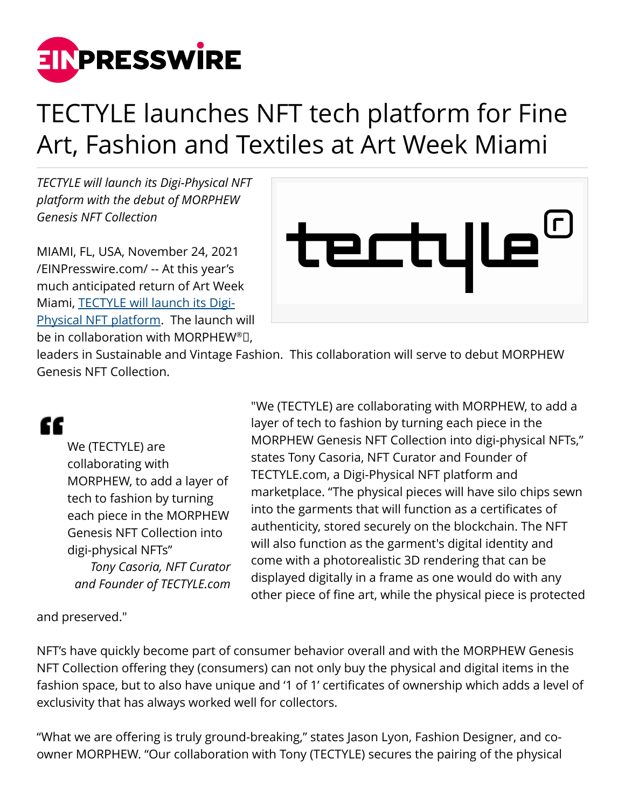

## TECTYLE launches NFT tech platform for Fine Art, Fashion and Textiles at Art Week Miami

*TECTYLE will launch its Digi-Physical NFT platform with the debut of MORPHEW Genesis NFT Collection*

MIAMI, FL, USA, November 24, 2021 [/EINPresswire.com/](http://www.einpresswire.com) -- At this year's much anticipated return of Art Week Miami, [TECTYLE will launch its Digi-](http://www.tectyle.com)[Physical NFT platform](http://www.tectyle.com). The launch will be in collaboration with MORPHEW®<sup>[1]</sup>,



leaders in Sustainable and Vintage Fashion. This collaboration will serve to debut MORPHEW Genesis NFT Collection.

## "

We (TECTYLE) are collaborating with MORPHEW, to add a layer of tech to fashion by turning each piece in the MORPHEW Genesis NFT Collection into digi-physical NFTs" *Tony Casoria, NFT Curator and Founder of TECTYLE.com*

"We (TECTYLE) are collaborating with MORPHEW, to add a layer of tech to fashion by turning each piece in the MORPHEW Genesis NFT Collection into digi-physical NFTs," states Tony Casoria, NFT Curator and Founder of TECTYLE.com, a Digi-Physical NFT platform and marketplace. "The physical pieces will have silo chips sewn into the garments that will function as a certificates of authenticity, stored securely on the blockchain. The NFT will also function as the garment's digital identity and come with a photorealistic 3D rendering that can be displayed digitally in a frame as one would do with any other piece of fine art, while the physical piece is protected

and preserved."

NFT's have quickly become part of consumer behavior overall and with the MORPHEW Genesis NFT Collection offering they (consumers) can not only buy the physical and digital items in the fashion space, but to also have unique and '1 of 1' certificates of ownership which adds a level of exclusivity that has always worked well for collectors.

"What we are offering is truly ground-breaking," states Jason Lyon, Fashion Designer, and coowner MORPHEW. "Our collaboration with Tony (TECTYLE) secures the pairing of the physical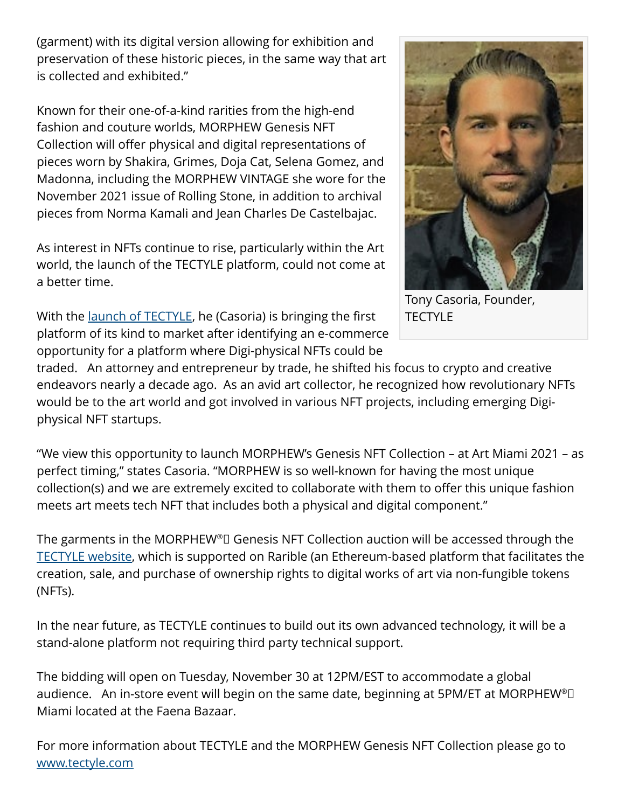(garment) with its digital version allowing for exhibition and preservation of these historic pieces, in the same way that art is collected and exhibited."

Known for their one-of-a-kind rarities from the high-end fashion and couture worlds, MORPHEW Genesis NFT Collection will offer physical and digital representations of pieces worn by Shakira, Grimes, Doja Cat, Selena Gomez, and Madonna, including the MORPHEW VINTAGE she wore for the November 2021 issue of Rolling Stone, in addition to archival pieces from Norma Kamali and Jean Charles De Castelbajac.

As interest in NFTs continue to rise, particularly within the Art world, the launch of the TECTYLE platform, could not come at a better time.

With the <u>launch of TECTYLE</u>, he (Casoria) is bringing the first platform of its kind to market after identifying an e-commerce opportunity for a platform where Digi-physical NFTs could be



Tony Casoria, Founder, **TECTYLE** 

traded. An attorney and entrepreneur by trade, he shifted his focus to crypto and creative endeavors nearly a decade ago. As an avid art collector, he recognized how revolutionary NFTs would be to the art world and got involved in various NFT projects, including emerging Digiphysical NFT startups.

"We view this opportunity to launch MORPHEW's Genesis NFT Collection – at Art Miami 2021 – as perfect timing," states Casoria. "MORPHEW is so well-known for having the most unique collection(s) and we are extremely excited to collaborate with them to offer this unique fashion meets art meets tech NFT that includes both a physical and digital component."

The garments in the MORPHEW®<sup>[1]</sup> Genesis NFT Collection auction will be accessed through the [TECTYLE website](http://www.tectyle.com), which is supported on Rarible (an Ethereum-based platform that facilitates the creation, sale, and purchase of ownership rights to digital works of art via non-fungible tokens (NFTs).

In the near future, as TECTYLE continues to build out its own advanced technology, it will be a stand-alone platform not requiring third party technical support.

The bidding will open on Tuesday, November 30 at 12PM/EST to accommodate a global audience. An in-store event will begin on the same date, beginning at 5PM/ET at MORPHEW®D Miami located at the Faena Bazaar.

For more information about TECTYLE and the MORPHEW Genesis NFT Collection please go to [www.tectyle.com](http://www.tectyle.com)